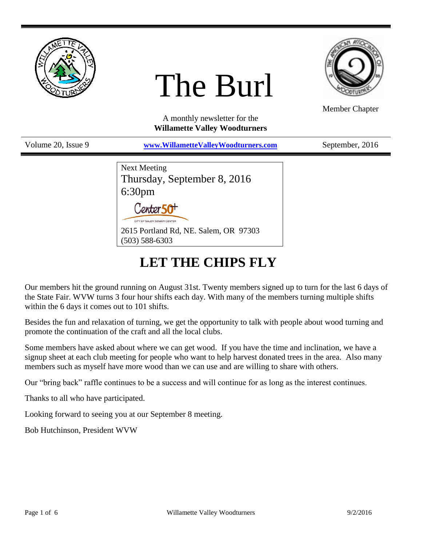

# The Burl



Member Chapter

A monthly newsletter for the **Willamette Valley Woodturners**

| Volume 20, Issue 9 | www.WillametteValleyWoodturners.com                               | September, 2016 |
|--------------------|-------------------------------------------------------------------|-----------------|
|                    | <b>Next Meeting</b>                                               |                 |
|                    | Thursday, September 8, 2016                                       |                 |
|                    |                                                                   |                 |
|                    | $6:30pm$<br>Center 50 <sup>+</sup><br>CITY OF SALEM SENIOR CENTER |                 |
|                    | 2615 Portland Rd, NE. Salem, OR 97303<br>$(503) 588 - 6303$       |                 |

# **LET THE CHIPS FLY**

Our members hit the ground running on August 31st. Twenty members signed up to turn for the last 6 days of the State Fair. WVW turns 3 four hour shifts each day. With many of the members turning multiple shifts within the 6 days it comes out to 101 shifts.

Besides the fun and relaxation of turning, we get the opportunity to talk with people about wood turning and promote the continuation of the craft and all the local clubs.

Some members have asked about where we can get wood. If you have the time and inclination, we have a signup sheet at each club meeting for people who want to help harvest donated trees in the area. Also many members such as myself have more wood than we can use and are willing to share with others.

Our "bring back" raffle continues to be a success and will continue for as long as the interest continues.

Thanks to all who have participated.

Looking forward to seeing you at our September 8 meeting.

Bob Hutchinson, President WVW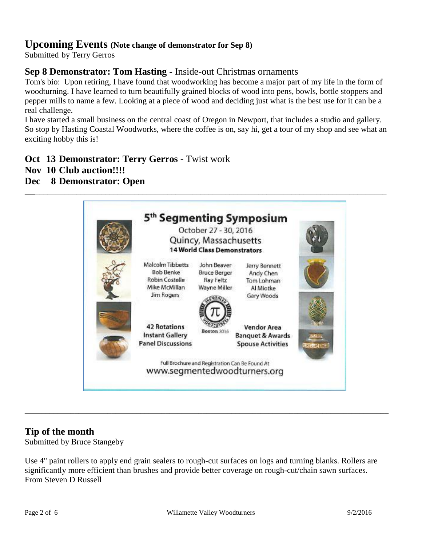# **Upcoming Events (Note change of demonstrator for Sep 8)**

Submitted by Terry Gerros

# **Sep 8 Demonstrator: Tom Hasting -** Inside-out Christmas ornaments

Tom's bio: Upon retiring, I have found that woodworking has become a major part of my life in the form of woodturning. I have learned to turn beautifully grained blocks of wood into pens, bowls, bottle stoppers and pepper mills to name a few. Looking at a piece of wood and deciding just what is the best use for it can be a real challenge.

I have started a small business on the central coast of Oregon in Newport, that includes a studio and gallery. So stop by Hasting Coastal Woodworks, where the coffee is on, say hi, get a tour of my shop and see what an exciting hobby this is!

**Oct 13 Demonstrator: Terry Gerros -** Twist work

- **Nov 10 Club auction!!!!**
- **Dec 8 Demonstrator: Open**



### **Tip of the month**

Submitted by Bruce Stangeby

Use 4" paint rollers to apply end grain sealers to rough-cut surfaces on logs and turning blanks. Rollers are significantly more efficient than brushes and provide better coverage on rough-cut/chain sawn surfaces. From Steven D Russell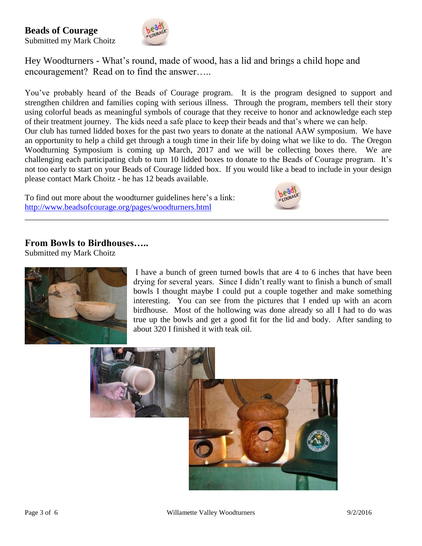**Beads of Courage** Submitted my Mark Choitz



Hey Woodturners - What's round, made of wood, has a lid and brings a child hope and encouragement? Read on to find the answer…..

You've probably heard of the Beads of Courage program. It is the program designed to support and strengthen children and families coping with serious illness. Through the program, members tell their story using colorful beads as meaningful symbols of courage that they receive to honor and acknowledge each step of their treatment journey. The kids need a safe place to keep their beads and that's where we can help. Our club has turned lidded boxes for the past two years to donate at the national AAW symposium. We have an opportunity to help a child get through a tough time in their life by doing what we like to do. The Oregon Woodturning Symposium is coming up March, 2017 and we will be collecting boxes there. We are challenging each participating club to turn 10 lidded boxes to donate to the Beads of Courage program. It's not too early to start on your Beads of Courage lidded box. If you would like a bead to include in your design please contact Mark Choitz - he has 12 beads available.

\_\_\_\_\_\_\_\_\_\_\_\_\_\_\_\_\_\_\_\_\_\_\_\_\_\_\_\_\_\_\_\_\_\_\_\_\_\_\_\_\_\_\_\_\_\_\_\_\_\_\_\_\_\_\_\_\_\_\_\_\_\_\_\_\_\_\_\_\_\_\_\_\_\_\_\_\_\_\_\_\_\_\_\_\_\_\_\_

To find out more about the woodturner guidelines here's a link: <http://www.beadsofcourage.org/pages/woodturners.html>



#### **From Bowls to Birdhouses…..**

Submitted my Mark Choitz



I have a bunch of green turned bowls that are 4 to 6 inches that have been drying for several years. Since I didn't really want to finish a bunch of small bowls I thought maybe I could put a couple together and make something interesting. You can see from the pictures that I ended up with an acorn birdhouse. Most of the hollowing was done already so all I had to do was true up the bowls and get a good fit for the lid and body. After sanding to about 320 I finished it with teak oil.

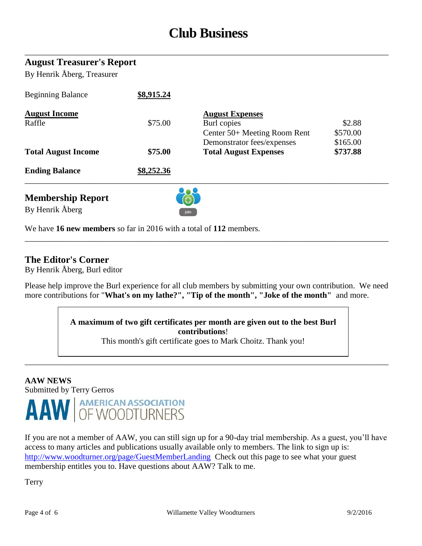# **Club Business**

\_\_\_\_\_\_\_\_\_\_\_\_\_\_\_\_\_\_\_\_\_\_\_\_\_\_\_\_\_\_\_\_\_\_\_\_\_\_\_\_\_\_\_\_\_\_\_\_\_\_\_\_\_\_\_\_\_\_\_\_\_\_\_\_\_\_\_\_\_\_\_\_\_\_\_\_\_\_\_\_\_\_\_\_\_\_\_\_

#### **August Treasurer's Report**

By Henrik Åberg, Treasurer

| <b>Membership Report</b>   |            |                              |          |  |
|----------------------------|------------|------------------------------|----------|--|
| <b>Ending Balance</b>      | \$8,252.36 |                              |          |  |
| <b>Total August Income</b> | \$75.00    | <b>Total August Expenses</b> | \$737.88 |  |
|                            |            | Demonstrator fees/expenses   | \$165.00 |  |
|                            |            | Center 50+ Meeting Room Rent | \$570.00 |  |
| Raffle                     | \$75.00    | Burl copies                  | \$2.88   |  |
| <b>August Income</b>       |            | <b>August Expenses</b>       |          |  |
| <b>Beginning Balance</b>   | \$8,915.24 |                              |          |  |

By Henrik Åberg



We have **16 new members** so far in 2016 with a total of **112** members.

#### **The Editor's Corner**

By Henrik Åberg, Burl editor

Please help improve the Burl experience for all club members by submitting your own contribution. We need more contributions for "**What's on my lathe?", "Tip of the month", "Joke of the month"** and more.

\_\_\_\_\_\_\_\_\_\_\_\_\_\_\_\_\_\_\_\_\_\_\_\_\_\_\_\_\_\_\_\_\_\_\_\_\_\_\_\_\_\_\_\_\_\_\_\_\_\_\_\_\_\_\_\_\_\_\_\_\_\_\_\_\_\_\_\_\_\_\_\_\_\_\_\_\_\_\_\_\_\_\_\_\_\_\_\_

**A maximum of two gift certificates per month are given out to the best Burl contributions**!

This month's gift certificate goes to Mark Choitz. Thank you!

\_\_\_\_\_\_\_\_\_\_\_\_\_\_\_\_\_\_\_\_\_\_\_\_\_\_\_\_\_\_\_\_\_\_\_\_\_\_\_\_\_\_\_\_\_\_\_\_\_\_\_\_\_\_\_\_\_\_\_\_\_\_\_\_\_\_\_\_\_\_\_\_\_\_\_\_\_\_\_\_\_\_\_\_\_\_\_\_

#### **AAW NEWS** Submitted by Terry Gerros



If you are not a member of AAW, you can still sign up for a 90-day trial membership. As a guest, you'll have access to many articles and publications usually available only to members. The link to sign up is: <http://www.woodturner.org/page/GuestMemberLanding>Check out this page to see what your guest membership entitles you to. Have questions about AAW? Talk to me.

Terry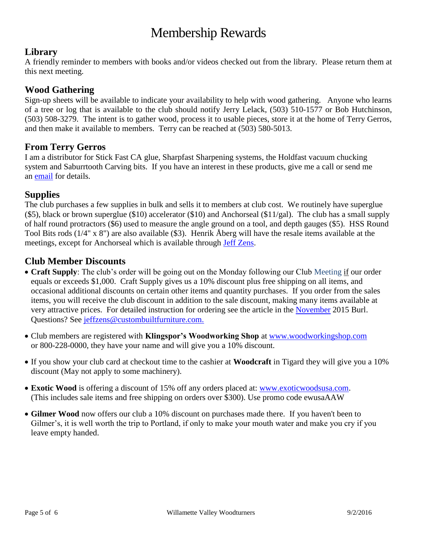# Membership Rewards

# **Library**

A friendly reminder to members with books and/or videos checked out from the library. Please return them at this next meeting.

## **Wood Gathering**

Sign-up sheets will be available to indicate your availability to help with wood gathering. Anyone who learns of a tree or log that is available to the club should notify Jerry Lelack, (503) 510-1577 or Bob Hutchinson, (503) 508-3279. The intent is to gather wood, process it to usable pieces, store it at the home of Terry Gerros, and then make it available to members. Terry can be reached at (503) 580-5013.

### **From Terry Gerros**

I am a distributor for Stick Fast CA glue, Sharpfast Sharpening systems, the Holdfast vacuum chucking system and Saburrtooth Carving bits. If you have an interest in these products, give me a call or send me an [email](mailto:gerrost@yahoo.com) for details.

# **Supplies**

The club purchases a few supplies in bulk and sells it to members at club cost. We routinely have superglue (\$5), black or brown superglue (\$10) accelerator (\$10) and Anchorseal (\$11/gal). The club has a small supply of half round protractors (\$6) used to measure the angle ground on a tool, and depth gauges (\$5). HSS Round Tool Bits rods (1/4" x 8") are also available (\$3). Henrik Åberg will have the resale items available at the meetings, except for Anchorseal which is available through [Jeff Zens.](mailto:jszens@custombuiltfurniture.com)

# **Club Member Discounts**

- **Craft Supply**: The club's order will be going out on the Monday following our Club Meeting if our order equals or exceeds \$1,000. Craft Supply gives us a 10% discount plus free shipping on all items, and occasional additional discounts on certain other items and quantity purchases. If you order from the sales items, you will receive the club discount in addition to the sale discount, making many items available at very attractive prices. For detailed instruction for ordering see the article in the [November](http://www.willamettevalleywoodturners.com/newsletters/2015_11_WVW_Newsletter.pdf) 2015 Burl. Questions? See [jeffzens@custombuiltfurniture.com.](mailto:jeffzens@custombuiltfurniture.com.)
- Club members are registered with **Klingspor's Woodworking Shop** at [www.woodworkingshop.com](http://www.woodworkingshop.com/)  or 800-228-0000, they have your name and will give you a 10% discount.
- If you show your club card at checkout time to the cashier at **Woodcraft** in Tigard they will give you a 10% discount (May not apply to some machinery).
- **Exotic Wood** is offering a discount of 15% off any orders placed at: [www.exoticwoodsusa.com.](http://www.exoticwoodsusa.com/) (This includes sale items and free shipping on orders over \$300). Use promo code ewusaAAW
- **Gilmer Wood** now offers our club a 10% discount on purchases made there. If you haven't been to Gilmer's, it is well worth the trip to Portland, if only to make your mouth water and make you cry if you leave empty handed.